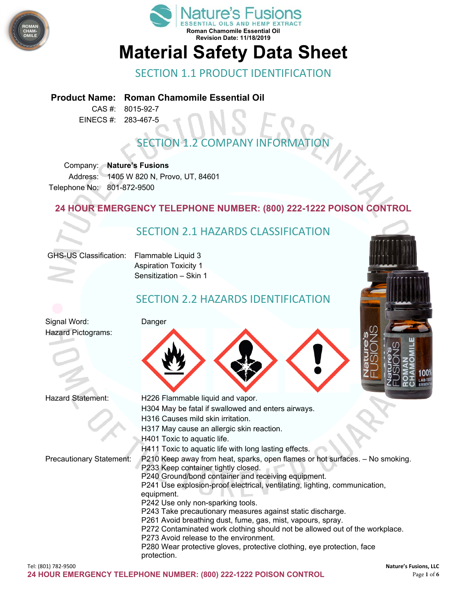



## SECTION 1.1 PRODUCT IDENTIFICATION

#### **Product Name: Roman Chamomile Essential Oil**

CAS #: 8015-92-7 EINECS #: 283-467-5

# **SECTION 1.2 COMPANY INFORMAT**

Company: **Nature's Fusions** Address: 1405 W 820 N, Provo, UT, 84601 Telephone No: 801-872-9500

#### **24 HOUR EMERGENCY TELEPHONE NUMBER: (800) 222-1222 POISON CONTROL**

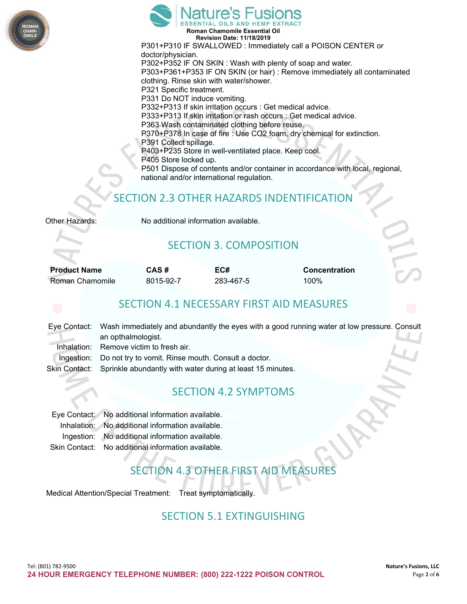



**Revision Date: 11/18/2019** P301+P310 IF SWALLOWED : Immediately call a POISON CENTER or doctor/physician. P302+P352 IF ON SKIN : Wash with plenty of soap and water. P303+P361+P353 IF ON SKIN (or hair) : Remove immediately all contaminated clothing. Rinse skin with water/shower. P321 Specific treatment. P331 Do NOT induce vomiting. P332+P313 If skin irritation occurs : Get medical advice. P333+P313 If skin irritation or rash occurs : Get medical advice. P363 Wash contaminated clothing before reuse. P370+P378 In case of fire : Use CO2 foam, dry chemical for extinction. P391 Collect spillage. P403+P235 Store in well-ventilated place. Keep cool. P405 Store locked up. P501 Dispose of contents and/or container in accordance with local, regional, national and/or international regulation.

#### SECTION 2.3 OTHER HAZARDS INDENTIFICATION

| Other Hazards: |
|----------------|
|----------------|

No additional information available.

#### SECTION 3. COMPOSITION

| <b>Product Name</b> | CΑ |
|---------------------|----|
| Roman Chamomile     | 80 |

Roman Chamomile 8015-92-7 283-467-5 100%

**Product Name CAS # EC# Concentration**

#### SECTION 4.1 NECESSARY FIRST AID MEASURES

|             | Eye Contact: Wash immediately and abundantly the eyes with a good running water at low pressure. Consult<br>an opthalmologist. |  |
|-------------|--------------------------------------------------------------------------------------------------------------------------------|--|
| Thhalation: | Remove victim to fresh air.                                                                                                    |  |
|             | Ingestion: Do not try to vomit. Rinse mouth. Consult a doctor.                                                                 |  |
|             | Skin Contact: Sprinkle abundantly with water during at least 15 minutes.                                                       |  |

#### SECTION 4.2 SYMPTOMS

| Eye Contact: No additional information available.  |
|----------------------------------------------------|
| Inhalation: No additional information available.   |
| Ingestion: No additional information available.    |
| Skin Contact: No additional information available. |

# SECTION 4.3 OTHER FIRST AID MEASURES

Medical Attention/Special Treatment: Treat symptomatically.

#### SECTION 5.1 EXTINGUISHING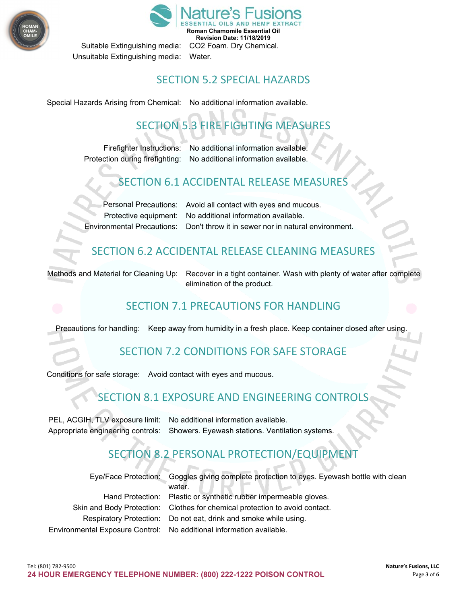



Unsuitable Extinguishing media: Water.

#### SECTION 5.2 SPECIAL HAZARDS

Special Hazards Arising from Chemical: No additional information available.

# SECTION 5.3 FIRE FIGHTING MEASURES

Firefighter Instructions: No additional information available. Protection during firefighting: No additional information available.

# **SECTION 6.1 ACCIDENTAL RELEASE MEASU**

Personal Precautions: Avoid all contact with eyes and mucous. Protective equipment: No additional information available. Environmental Precautions: Don't throw it in sewer nor in natural environment.

# SECTION 6.2 ACCIDENTAL RELEASE CLEANING MEASURES

Methods and Material for Cleaning Up: Recover in a tight container. Wash with plenty of water after complete elimination of the product.

# SECTION 7.1 PRECAUTIONS FOR HANDLING

Precautions for handling: Keep away from humidity in a fresh place. Keep container closed after using.

### SECTION 7.2 CONDITIONS FOR SAFE STORAGE

Conditions for safe storage: Avoid contact with eyes and mucous.

# SECTION 8.1 EXPOSURE AND ENGINEERING CONTRO

PEL, ACGIH, TLV exposure limit: No additional information available. Appropriate engineering controls: Showers. Eyewash stations. Ventilation systems.

# SECTION 8.2 PERSONAL PROTECTION/EQUIPM

| Eye/Face Protection: Goggles giving complete protection to eyes. Eyewash bottle with clean<br>water. |
|------------------------------------------------------------------------------------------------------|
| Hand Protection: Plastic or synthetic rubber impermeable gloves.                                     |
| Skin and Body Protection: Clothes for chemical protection to avoid contact.                          |
| Respiratory Protection: Do not eat, drink and smoke while using.                                     |
| Environmental Exposure Control: No additional information available.                                 |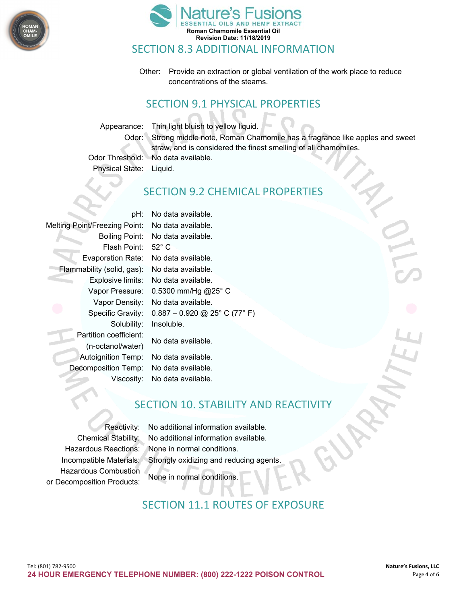



#### SECTION 8.3 ADDITIONAL INFORMATION

Other: Provide an extraction or global ventilation of the work place to reduce concentrations of the steams.

# SECTION 9.1 PHYSICAL PROPERTIES

Appearance: Thin light bluish to yellow liquid. Odor: Strong middle note, Roman Chamomile has a fragrance like apples and sweet straw, and is considered the finest smelling of all chamomiles.

Odor Threshold: No data available. Physical State: Liquid.

#### SECTION 9.2 CHEMICAL PROPERTIES

pH: No data available. Melting Point/Freezing Point: No data available. Flash Point: 52° C Evaporation Rate: No data available. Flammability (solid, gas): No data available. Solubility: Insoluble. Partition coefficient: No data available. (n-octanol/water) Autoignition Temp: No data available. Decomposition Temp: No data available.

Boiling Point: No data available. Explosive limits: No data available. Vapor Pressure: 0.5300 mm/Hg @25° C Vapor Density: No data available. Specific Gravity: 0.887 – 0.920 @ 25° C (77° F)

Viscosity: No data available.

#### SECTION 10. STABILITY AND REACTIVITY

Hazardous Combustion None in normal conditions. or Decomposition Products:

Reactivity: No additional information available. Chemical Stability: No additional information available. Hazardous Reactions: None in normal conditions. Incompatible Materials: Strongly oxidizing and reducing agents.

### SECTION 11.1 ROUTES OF EXPOSURE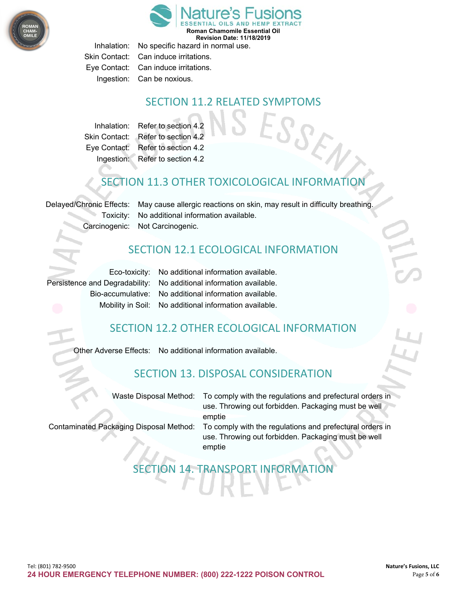

**Roman Chamomile Essential Oil** 

**Revision Date: 11/18/2019**

Inhalation: No specific hazard in normal use. Skin Contact: Can induce irritations. Eye Contact: Can induce irritations. Ingestion: Can be noxious.

#### SECTION 11.2 RELATED SYMPTOMS

Inhalation: Refer to section 4.2 Skin Contact: Refer to section 4.2 Eye Contact: Refer to section 4.2 Ingestion: Refer to section 4.2

# SECTION 11.3 OTHER TOXICOLOGICAL INFORMATION

Delayed/Chronic Effects: May cause allergic reactions on skin, may result in difficulty breathing. Toxicity: No additional information available. Carcinogenic: Not Carcinogenic.

#### SECTION 12.1 ECOLOGICAL INFORMATION

Eco-toxicity: No additional information available. Persistence and Degradability: No additional information available. Bio-accumulative: No additional information available. Mobility in Soil: No additional information available.

### SECTION 12.2 OTHER ECOLOGICAL INFORMATION

Other Adverse Effects: No additional information available.

### SECTION 13. DISPOSAL CONSIDERATION

| Waste Disposal Method:                         | To comply with the regulations and prefectural orders in<br>use. Throwing out forbidden. Packaging must be well |
|------------------------------------------------|-----------------------------------------------------------------------------------------------------------------|
|                                                | emptie                                                                                                          |
|                                                |                                                                                                                 |
| <b>Contaminated Packaging Disposal Method:</b> | To comply with the regulations and prefectural orders in                                                        |
|                                                | use. Throwing out forbidden. Packaging must be well                                                             |
|                                                | emptie                                                                                                          |

# SECTION 14. TRANSPORT INFORMAT